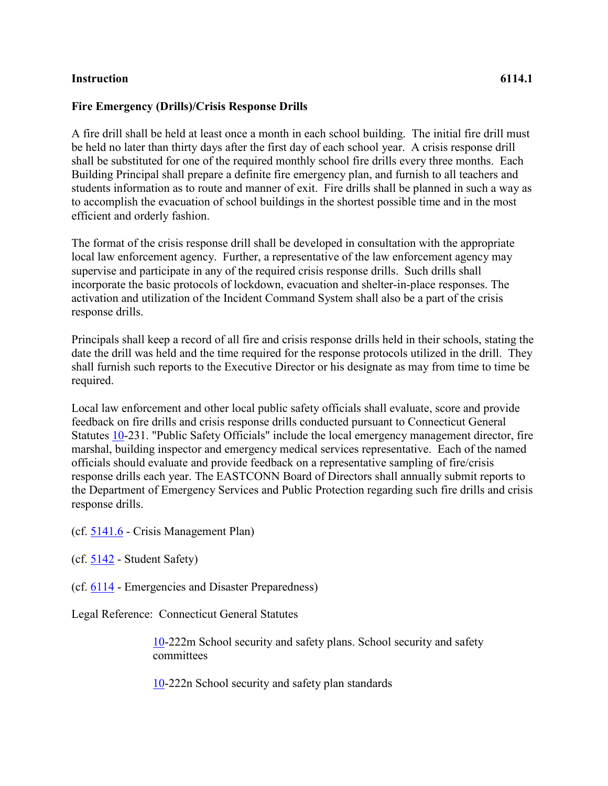## **Instruction 6114.1**

## **Fire Emergency (Drills)/Crisis Response Drills**

A fire drill shall be held at least once a month in each school building. The initial fire drill must be held no later than thirty days after the first day of each school year. A crisis response drill shall be substituted for one of the required monthly school fire drills every three months. Each Building Principal shall prepare a definite fire emergency plan, and furnish to all teachers and students information as to route and manner of exit. Fire drills shall be planned in such a way as to accomplish the evacuation of school buildings in the shortest possible time and in the most efficient and orderly fashion.

The format of the crisis response drill shall be developed in consultation with the appropriate local law enforcement agency. Further, a representative of the law enforcement agency may supervise and participate in any of the required crisis response drills. Such drills shall incorporate the basic protocols of lockdown, evacuation and shelter-in-place responses. The activation and utilization of the Incident Command System shall also be a part of the crisis response drills.

Principals shall keep a record of all fire and crisis response drills held in their schools, stating the date the drill was held and the time required for the response protocols utilized in the drill. They shall furnish such reports to the Executive Director or his designate as may from time to time be required.

Local law enforcement and other local public safety officials shall evaluate, score and provide feedback on fire drills and crisis response drills conducted pursuant to Connecticut General Statutes [10-](http://www.cga.ct.gov/2011/pub/Title10.htm)231. "Public Safety Officials" include the local emergency management director, fire marshal, building inspector and emergency medical services representative. Each of the named officials should evaluate and provide feedback on a representative sampling of fire/crisis response drills each year. The EASTCONN Board of Directors shall annually submit reports to the Department of Emergency Services and Public Protection regarding such fire drills and crisis response drills.

- (cf. [5141.6](http://z2policy.cabe.org/cabe/DocViewer.jsp?docid=305&z2collection=core#JD_5141.6) Crisis Management Plan)
- (cf. [5142](http://z2policy.cabe.org/cabe/DocViewer.jsp?docid=308&z2collection=core#JD_5142) Student Safety)
- (cf. [6114](http://z2policy.cabe.org/cabe/DocViewer.jsp?docid=352&z2collection=core#JD_6114) Emergencies and Disaster Preparedness)

Legal Reference: Connecticut General Statutes

[10-](http://www.cga.ct.gov/2011/pub/Title10.htm)222m School security and safety plans. School security and safety committees

[10-](http://www.cga.ct.gov/2011/pub/Title10.htm)222n School security and safety plan standards